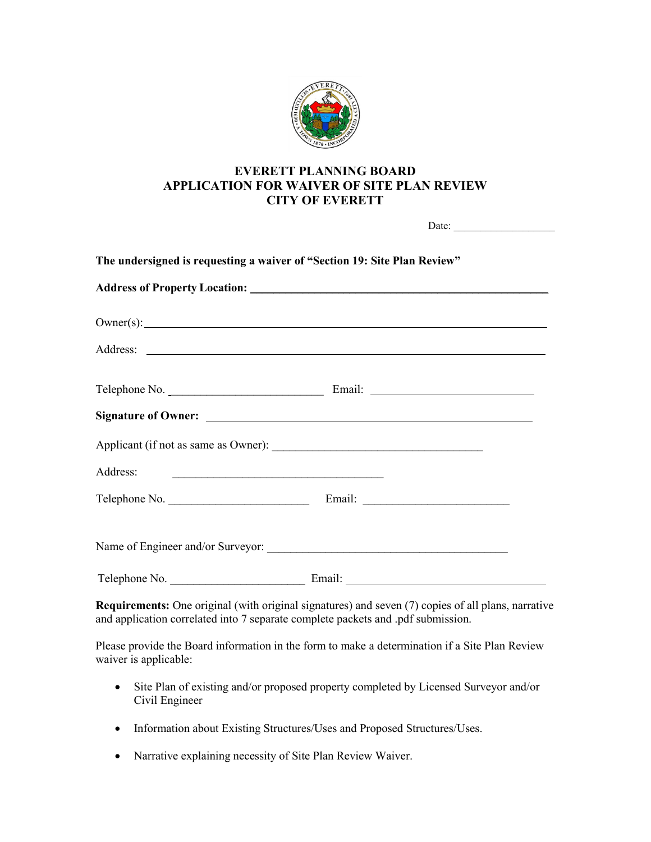

## **EVERETT PLANNING BOARD APPLICATION FOR WAIVER OF SITE PLAN REVIEW CITY OF EVERETT**

 $\text{Date}^+$ 

|  | $Owner(s):$ $\qquad \qquad$ |  |
|--|-----------------------------|--|
|  |                             |  |
|  |                             |  |
|  |                             |  |
|  |                             |  |
|  |                             |  |
|  |                             |  |
|  |                             |  |
|  |                             |  |

Please provide the Board information in the form to make a determination if a Site Plan Review waiver is applicable:

- Site Plan of existing and/or proposed property completed by Licensed Surveyor and/or Civil Engineer
- Information about Existing Structures/Uses and Proposed Structures/Uses.
- Narrative explaining necessity of Site Plan Review Waiver.